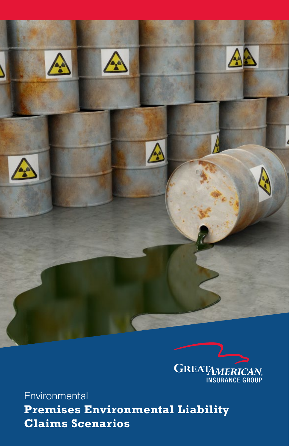



**Environmental Premises Environmental Liability Claims Scenarios**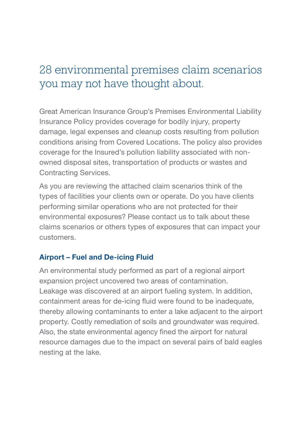# 28 environmental premises claim scenarios you may not have thought about.

Great American Insurance Group's Premises Environmental Liability Insurance Policy provides coverage for bodily injury, property damage, legal expenses and cleanup costs resulting from pollution conditions arising from Covered Locations. The policy also provides coverage for the Insured's pollution liability associated with nonowned disposal sites, transportation of products or wastes and Contracting Services.

As you are reviewing the attached claim scenarios think of the types of facilities your clients own or operate. Do you have clients performing similar operations who are not protected for their environmental exposures? Please contact us to talk about these claims scenarios or others types of exposures that can impact your customers.

# Airport – Fuel and De-icing Fluid

An environmental study performed as part of a regional airport expansion project uncovered two areas of contamination. Leakage was discovered at an airport fueling system. In addition, containment areas for de-icing fluid were found to be inadequate, thereby allowing contaminants to enter a lake adjacent to the airport property. Costly remediation of soils and groundwater was required. Also, the state environmental agency fined the airport for natural resource damages due to the impact on several pairs of bald eagles nesting at the lake.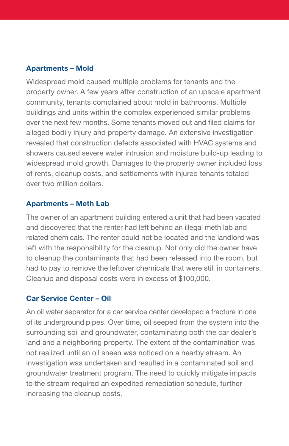#### Apartments – Mold

Widespread mold caused multiple problems for tenants and the property owner. A few years after construction of an upscale apartment community, tenants complained about mold in bathrooms. Multiple buildings and units within the complex experienced similar problems over the next few months. Some tenants moved out and filed claims for alleged bodily injury and property damage. An extensive investigation revealed that construction defects associated with HVAC systems and showers caused severe water intrusion and moisture build-up leading to widespread mold growth. Damages to the property owner included loss of rents, cleanup costs, and settlements with injured tenants totaled over two million dollars.

#### Apartments – Meth Lab

The owner of an apartment building entered a unit that had been vacated and discovered that the renter had left behind an illegal meth lab and related chemicals. The renter could not be located and the landlord was left with the responsibility for the cleanup. Not only did the owner have to cleanup the contaminants that had been released into the room, but had to pay to remove the leftover chemicals that were still in containers. Cleanup and disposal costs were in excess of \$100,000.

#### Car Service Center – Oil

An oil water separator for a car service center developed a fracture in one of its underground pipes. Over time, oil seeped from the system into the surrounding soil and groundwater, contaminating both the car dealer's land and a neighboring property. The extent of the contamination was not realized until an oil sheen was noticed on a nearby stream. An investigation was undertaken and resulted in a contaminated soil and groundwater treatment program. The need to quickly mitigate impacts to the stream required an expedited remediation schedule, further increasing the cleanup costs.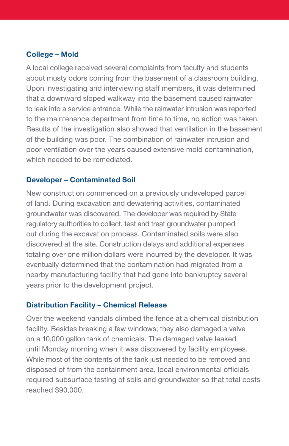# College – Mold

A local college received several complaints from faculty and students about musty odors coming from the basement of a classroom building. Upon investigating and interviewing staff members, it was determined that a downward sloped walkway into the basement caused rainwater to leak into a service entrance. While the rainwater intrusion was reported to the maintenance department from time to time, no action was taken. Results of the investigation also showed that ventilation in the basement of the building was poor. The combination of rainwater intrusion and poor ventilation over the years caused extensive mold contamination, which needed to be remediated.

## Developer – Contaminated Soil

New construction commenced on a previously undeveloped parcel of land. During excavation and dewatering activities, contaminated groundwater was discovered. The developer was required by State regulatory authorities to collect, test and treat groundwater pumped out during the excavation process. Contaminated soils were also discovered at the site. Construction delays and additional expenses totaling over one million dollars were incurred by the developer. It was eventually determined that the contamination had migrated from a nearby manufacturing facility that had gone into bankruptcy several years prior to the development project.

# Distribution Facility – Chemical Release

Over the weekend vandals climbed the fence at a chemical distribution facility. Besides breaking a few windows; they also damaged a valve on a 10,000 gallon tank of chemicals. The damaged valve leaked until Monday morning when it was discovered by facility employees. While most of the contents of the tank just needed to be removed and disposed of from the containment area, local environmental officials required subsurface testing of soils and groundwater so that total costs reached \$90,000.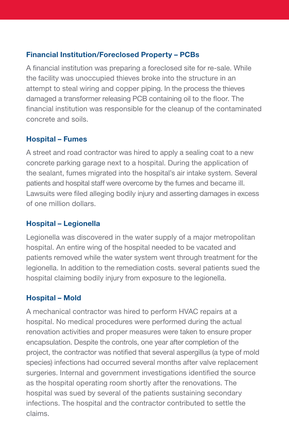# Financial Institution/Foreclosed Property – PCBs

A financial institution was preparing a foreclosed site for re-sale. While the facility was unoccupied thieves broke into the structure in an attempt to steal wiring and copper piping. In the process the thieves damaged a transformer releasing PCB containing oil to the floor. The financial institution was responsible for the cleanup of the contaminated concrete and soils.

# Hospital – Fumes

A street and road contractor was hired to apply a sealing coat to a new concrete parking garage next to a hospital. During the application of the sealant, fumes migrated into the hospital's air intake system. Several patients and hospital staff were overcome by the fumes and became ill. Lawsuits were filed alleging bodily injury and asserting damages in excess of one million dollars.

# Hospital – Legionella

Legionella was discovered in the water supply of a major metropolitan hospital. An entire wing of the hospital needed to be vacated and patients removed while the water system went through treatment for the legionella. In addition to the remediation costs. several patients sued the hospital claiming bodily injury from exposure to the legionella.

# Hospital – Mold

A mechanical contractor was hired to perform HVAC repairs at a hospital. No medical procedures were performed during the actual renovation activities and proper measures were taken to ensure proper encapsulation. Despite the controls, one year after completion of the project, the contractor was notified that several aspergillus (a type of mold species) infections had occurred several months after valve replacement surgeries. Internal and government investigations identified the source as the hospital operating room shortly after the renovations. The hospital was sued by several of the patients sustaining secondary infections. The hospital and the contractor contributed to settle the claims.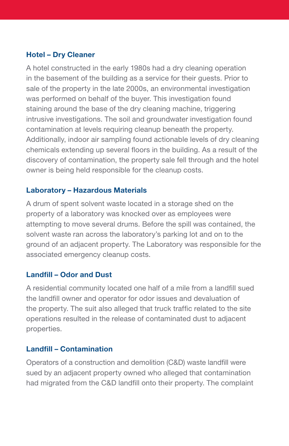# Hotel – Dry Cleaner

A hotel constructed in the early 1980s had a dry cleaning operation in the basement of the building as a service for their guests. Prior to sale of the property in the late 2000s, an environmental investigation was performed on behalf of the buyer. This investigation found staining around the base of the dry cleaning machine, triggering intrusive investigations. The soil and groundwater investigation found contamination at levels requiring cleanup beneath the property. Additionally, indoor air sampling found actionable levels of dry cleaning chemicals extending up several floors in the building. As a result of the discovery of contamination, the property sale fell through and the hotel owner is being held responsible for the cleanup costs.

## Laboratory – Hazardous Materials

A drum of spent solvent waste located in a storage shed on the property of a laboratory was knocked over as employees were attempting to move several drums. Before the spill was contained, the solvent waste ran across the laboratory's parking lot and on to the ground of an adjacent property. The Laboratory was responsible for the associated emergency cleanup costs.

#### Landfill – Odor and Dust

A residential community located one half of a mile from a landfill sued the landfill owner and operator for odor issues and devaluation of the property. The suit also alleged that truck traffic related to the site operations resulted in the release of contaminated dust to adjacent properties.

# Landfill – Contamination

Operators of a construction and demolition (C&D) waste landfill were sued by an adjacent property owned who alleged that contamination had migrated from the C&D landfill onto their property. The complaint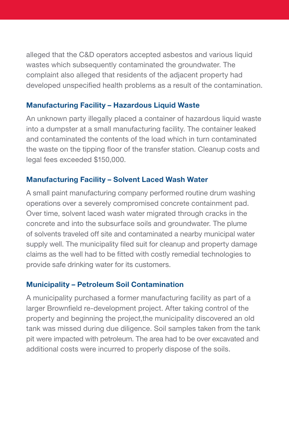alleged that the C&D operators accepted asbestos and various liquid wastes which subsequently contaminated the groundwater. The complaint also alleged that residents of the adjacent property had developed unspecified health problems as a result of the contamination.

## Manufacturing Facility – Hazardous Liquid Waste

An unknown party illegally placed a container of hazardous liquid waste into a dumpster at a small manufacturing facility. The container leaked and contaminated the contents of the load which in turn contaminated the waste on the tipping floor of the transfer station. Cleanup costs and legal fees exceeded \$150,000.

## Manufacturing Facility – Solvent Laced Wash Water

A small paint manufacturing company performed routine drum washing operations over a severely compromised concrete containment pad. Over time, solvent laced wash water migrated through cracks in the concrete and into the subsurface soils and groundwater. The plume of solvents traveled off site and contaminated a nearby municipal water supply well. The municipality filed suit for cleanup and property damage claims as the well had to be fitted with costly remedial technologies to provide safe drinking water for its customers.

# Municipality – Petroleum Soil Contamination

A municipality purchased a former manufacturing facility as part of a larger Brownfield re-development project. After taking control of the property and beginning the project,the municipality discovered an old tank was missed during due diligence. Soil samples taken from the tank pit were impacted with petroleum. The area had to be over excavated and additional costs were incurred to properly dispose of the soils.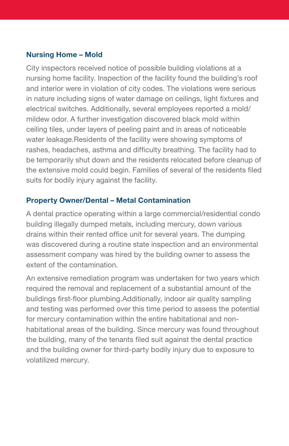## Nursing Home – Mold

City inspectors received notice of possible building violations at a nursing home facility. Inspection of the facility found the building's roof and interior were in violation of city codes. The violations were serious in nature including signs of water damage on ceilings, light fixtures and electrical switches. Additionally, several employees reported a mold/ mildew odor. A further investigation discovered black mold within ceiling tiles, under layers of peeling paint and in areas of noticeable water leakage.Residents of the facility were showing symptoms of rashes, headaches, asthma and difficulty breathing. The facility had to be temporarily shut down and the residents relocated before cleanup of the extensive mold could begin. Families of several of the residents filed suits for bodily injury against the facility.

## Property Owner/Dental – Metal Contamination

A dental practice operating within a large commercial/residential condo building illegally dumped metals, including mercury, down various drains within their rented office unit for several years. The dumping was discovered during a routine state inspection and an environmental assessment company was hired by the building owner to assess the extent of the contamination.

An extensive remediation program was undertaken for two years which required the removal and replacement of a substantial amount of the buildings first-floor plumbing.Additionally, indoor air quality sampling and testing was performed over this time period to assess the potential for mercury contamination within the entire habitational and nonhabitational areas of the building. Since mercury was found throughout the building, many of the tenants filed suit against the dental practice and the building owner for third-party bodily injury due to exposure to volatilized mercury.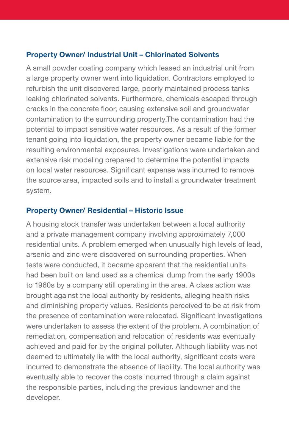## Property Owner/ Industrial Unit – Chlorinated Solvents

A small powder coating company which leased an industrial unit from a large property owner went into liquidation. Contractors employed to refurbish the unit discovered large, poorly maintained process tanks leaking chlorinated solvents. Furthermore, chemicals escaped through cracks in the concrete floor, causing extensive soil and groundwater contamination to the surrounding property.The contamination had the potential to impact sensitive water resources. As a result of the former tenant going into liquidation, the property owner became liable for the resulting environmental exposures. Investigations were undertaken and extensive risk modeling prepared to determine the potential impacts on local water resources. Significant expense was incurred to remove the source area, impacted soils and to install a groundwater treatment system.

## Property Owner/ Residential – Historic Issue

A housing stock transfer was undertaken between a local authority and a private management company involving approximately 7,000 residential units. A problem emerged when unusually high levels of lead, arsenic and zinc were discovered on surrounding properties. When tests were conducted, it became apparent that the residential units had been built on land used as a chemical dump from the early 1900s to 1960s by a company still operating in the area. A class action was brought against the local authority by residents, alleging health risks and diminishing property values. Residents perceived to be at risk from the presence of contamination were relocated. Significant investigations were undertaken to assess the extent of the problem. A combination of remediation, compensation and relocation of residents was eventually achieved and paid for by the original polluter. Although liability was not deemed to ultimately lie with the local authority, significant costs were incurred to demonstrate the absence of liability. The local authority was eventually able to recover the costs incurred through a claim against the responsible parties, including the previous landowner and the developer.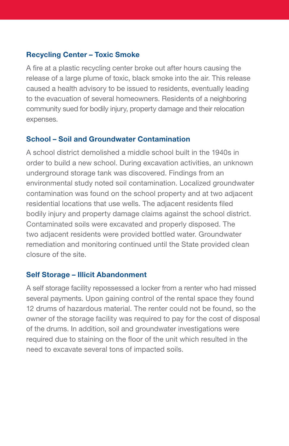## Recycling Center – Toxic Smoke

A fire at a plastic recycling center broke out after hours causing the release of a large plume of toxic, black smoke into the air. This release caused a health advisory to be issued to residents, eventually leading to the evacuation of several homeowners. Residents of a neighboring community sued for bodily injury, property damage and their relocation expenses.

#### School – Soil and Groundwater Contamination

A school district demolished a middle school built in the 1940s in order to build a new school. During excavation activities, an unknown underground storage tank was discovered. Findings from an environmental study noted soil contamination. Localized groundwater contamination was found on the school property and at two adjacent residential locations that use wells. The adjacent residents filed bodily injury and property damage claims against the school district. Contaminated soils were excavated and properly disposed. The two adjacent residents were provided bottled water. Groundwater remediation and monitoring continued until the State provided clean closure of the site.

#### Self Storage – Illicit Abandonment

A self storage facility repossessed a locker from a renter who had missed several payments. Upon gaining control of the rental space they found 12 drums of hazardous material. The renter could not be found, so the owner of the storage facility was required to pay for the cost of disposal of the drums. In addition, soil and groundwater investigations were required due to staining on the floor of the unit which resulted in the need to excavate several tons of impacted soils.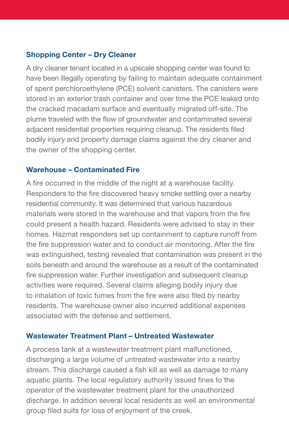# Shopping Center – Dry Cleaner

A dry cleaner tenant located in a upscale shopping center was found to have been illegally operating by failing to maintain adequate containment of spent perchloroethylene (PCE) solvent canisters. The canisters were stored in an exterior trash container and over time the PCE leaked onto the cracked macadam surface and eventually migrated off-site. The plume traveled with the flow of groundwater and contaminated several adjacent residential properties requiring cleanup. The residents filed bodily injury and property damage claims against the dry cleaner and the owner of the shopping center.

#### Warehouse – Contaminated Fire

A fire occurred in the middle of the night at a warehouse facility. Responders to the fire discovered heavy smoke settling over a nearby residential community. It was determined that various hazardous materials were stored in the warehouse and that vapors from the fire could present a health hazard. Residents were advised to stay in their homes. Hazmat responders set up containment to capture runoff from the fire suppression water and to conduct air monitoring. After the fire was extinguished, testing revealed that contamination was present in the soils beneath and around the warehouse as a result of the contaminated fire suppression water. Further investigation and subsequent cleanup activities were required. Several claims alleging bodily injury due to inhalation of toxic fumes from the fire were also filed by nearby residents. The warehouse owner also incurred additional expenses associated with the defense and settlement.

#### Wastewater Treatment Plant – Untreated Wastewater

A process tank at a wastewater treatment plant malfunctioned, discharging a large volume of untreated wastewater into a nearby stream. This discharge caused a fish kill as well as damage to many aquatic plants. The local regulatory authority issued fines to the operator of the wastewater treatment plant for the unauthorized discharge. In addition several local residents as well an environmental group filed suits for loss of enjoyment of the creek.